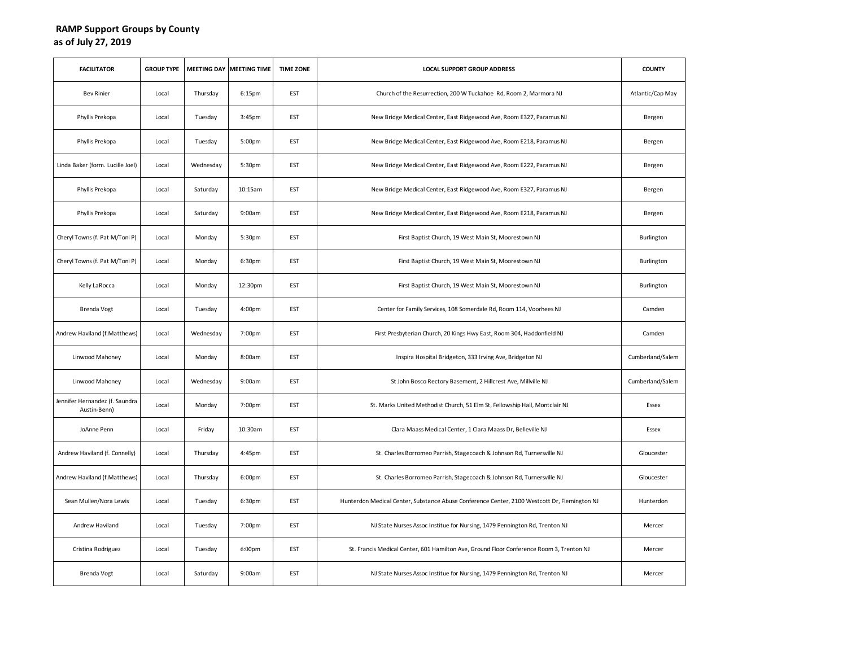## **RAMP Support Groups by County as of July 27, 2019**

| <b>FACILITATOR</b>                             | <b>GROUP TYPE</b> | <b>MEETING DAY</b> | <b>MEETING TIME</b> | <b>TIME ZONE</b> | <b>LOCAL SUPPORT GROUP ADDRESS</b>                                                           | <b>COUNTY</b>    |
|------------------------------------------------|-------------------|--------------------|---------------------|------------------|----------------------------------------------------------------------------------------------|------------------|
| <b>Bev Rinier</b>                              | Local             | Thursday           | 6:15pm              | EST              | Church of the Resurrection, 200 W Tuckahoe Rd, Room 2, Marmora NJ                            | Atlantic/Cap May |
| Phyllis Prekopa                                | Local             | Tuesday            | 3:45pm              | EST              | New Bridge Medical Center, East Ridgewood Ave, Room E327, Paramus NJ                         | Bergen           |
| Phyllis Prekopa                                | Local             | Tuesday            | 5:00pm              | EST              | New Bridge Medical Center, East Ridgewood Ave, Room E218, Paramus NJ                         | Bergen           |
| Linda Baker (form. Lucille Joel)               | Local             | Wednesday          | 5:30pm              | EST              | New Bridge Medical Center, East Ridgewood Ave, Room E222, Paramus NJ                         | Bergen           |
| Phyllis Prekopa                                | Local             | Saturday           | 10:15am             | EST              | New Bridge Medical Center, East Ridgewood Ave, Room E327, Paramus NJ                         | Bergen           |
| Phyllis Prekopa                                | Local             | Saturday           | 9:00am              | EST              | New Bridge Medical Center, East Ridgewood Ave, Room E218, Paramus NJ                         | Bergen           |
| Cheryl Towns (f. Pat M/Toni P)                 | Local             | Monday             | 5:30pm              | EST              | First Baptist Church, 19 West Main St, Moorestown NJ                                         | Burlington       |
| Cheryl Towns (f. Pat M/Toni P)                 | Local             | Monday             | 6:30pm              | EST              | First Baptist Church, 19 West Main St, Moorestown NJ                                         | Burlington       |
| Kelly LaRocca                                  | Local             | Monday             | 12:30pm             | EST              | First Baptist Church, 19 West Main St, Moorestown NJ                                         | Burlington       |
| <b>Brenda Vogt</b>                             | Local             | Tuesday            | 4:00pm              | EST              | Center for Family Services, 108 Somerdale Rd, Room 114, Voorhees NJ                          | Camden           |
| Andrew Haviland (f. Matthews)                  | Local             | Wednesday          | 7:00pm              | EST              | First Presbyterian Church, 20 Kings Hwy East, Room 304, Haddonfield NJ                       | Camden           |
| Linwood Mahoney                                | Local             | Monday             | 8:00am              | EST              | Inspira Hospital Bridgeton, 333 Irving Ave, Bridgeton NJ                                     | Cumberland/Salem |
| Linwood Mahoney                                | Local             | Wednesday          | 9:00am              | EST              | St John Bosco Rectory Basement, 2 Hillcrest Ave, Millville NJ                                | Cumberland/Salem |
| Jennifer Hernandez (f. Saundra<br>Austin-Benn) | Local             | Monday             | 7:00pm              | EST              | St. Marks United Methodist Church, 51 Elm St, Fellowship Hall, Montclair NJ                  | Essex            |
| JoAnne Penn                                    | Local             | Friday             | 10:30am             | EST              | Clara Maass Medical Center, 1 Clara Maass Dr, Belleville NJ                                  | Essex            |
| Andrew Haviland (f. Connelly)                  | Local             | Thursday           | 4:45pm              | EST              | St. Charles Borromeo Parrish, Stagecoach & Johnson Rd, Turnersville NJ                       | Gloucester       |
| Andrew Haviland (f.Matthews)                   | Local             | Thursday           | 6:00pm              | EST              | St. Charles Borromeo Parrish, Stagecoach & Johnson Rd, Turnersville NJ                       | Gloucester       |
| Sean Mullen/Nora Lewis                         | Local             | Tuesday            | 6:30pm              | EST              | Hunterdon Medical Center, Substance Abuse Conference Center, 2100 Westcott Dr, Flemington NJ | Hunterdon        |
| Andrew Haviland                                | Local             | Tuesday            | 7:00pm              | EST              | NJ State Nurses Assoc Institue for Nursing, 1479 Pennington Rd, Trenton NJ                   | Mercer           |
| Cristina Rodriguez                             | Local             | Tuesday            | 6:00pm              | EST              | St. Francis Medical Center, 601 Hamilton Ave, Ground Floor Conference Room 3, Trenton NJ     | Mercer           |
| <b>Brenda Vogt</b>                             | Local             | Saturday           | 9:00am              | EST              | NJ State Nurses Assoc Institue for Nursing, 1479 Pennington Rd, Trenton NJ                   | Mercer           |